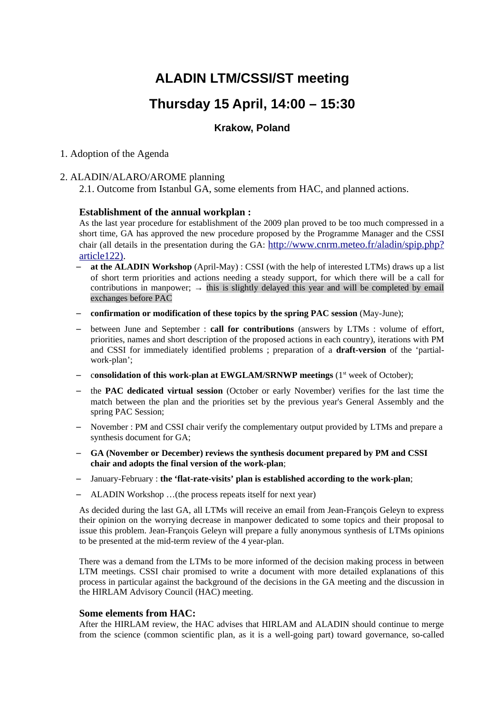# **ALADIN LTM/CSSI/ST meeting**

## **Thursday 15 April, 14:00 – 15:30**

## **Krakow, Poland**

## 1. Adoption of the Agenda

## 2. ALADIN/ALARO/AROME planning

2.1. Outcome from Istanbul GA, some elements from HAC, and planned actions.

## **Establishment of the annual workplan :**

As the last year procedure for establishment of the 2009 plan proved to be too much compressed in a short time, GA has approved the new procedure proposed by the Programme Manager and the CSSI chair (all details in the presentation during the GA: [http://www.cnrm.meteo.fr/aladin/spip.php?](http://www.cnrm.meteo.fr/aladin/spip.php?article122) [article122\).](http://www.cnrm.meteo.fr/aladin/spip.php?article122)

- at the ALADIN Workshop (April-May) : CSSI (with the help of interested LTMs) draws up a list of short term priorities and actions needing a steady support, for which there will be a call for contributions in manpower;  $\rightarrow$  this is slightly delayed this year and will be completed by email exchanges before PAC
- − **confirmation or modification of these topics by the spring PAC session** (May-June);
- − between June and September : **call for contributions** (answers by LTMs : volume of effort, priorities, names and short description of the proposed actions in each country), iterations with PM and CSSI for immediately identified problems ; preparation of a **draft-version** of the 'partialwork-plan';
- − c**onsolidation of this work-plan at EWGLAM/SRNWP meetings** (1st week of October);
- − the **PAC dedicated virtual session** (October or early November) verifies for the last time the match between the plan and the priorities set by the previous year's General Assembly and the spring PAC Session;
- November : PM and CSSI chair verify the complementary output provided by LTMs and prepare a synthesis document for GA;
- − **GA (November or December) reviews the synthesis document prepared by PM and CSSI chair and adopts the final version of the work-plan**;
- − January-February : **the 'flat-rate-visits' plan is established according to the work-plan**;
- − ALADIN Workshop …(the process repeats itself for next year)

As decided during the last GA, all LTMs will receive an email from Jean-François Geleyn to express their opinion on the worrying decrease in manpower dedicated to some topics and their proposal to issue this problem. Jean-François Geleyn will prepare a fully anonymous synthesis of LTMs opinions to be presented at the mid-term review of the 4 year-plan.

There was a demand from the LTMs to be more informed of the decision making process in between LTM meetings. CSSI chair promised to write a document with more detailed explanations of this process in particular against the background of the decisions in the GA meeting and the discussion in the HIRLAM Advisory Council (HAC) meeting.

#### **Some elements from HAC:**

After the HIRLAM review, the HAC advises that HIRLAM and ALADIN should continue to merge from the science (common scientific plan, as it is a well-going part) toward governance, so-called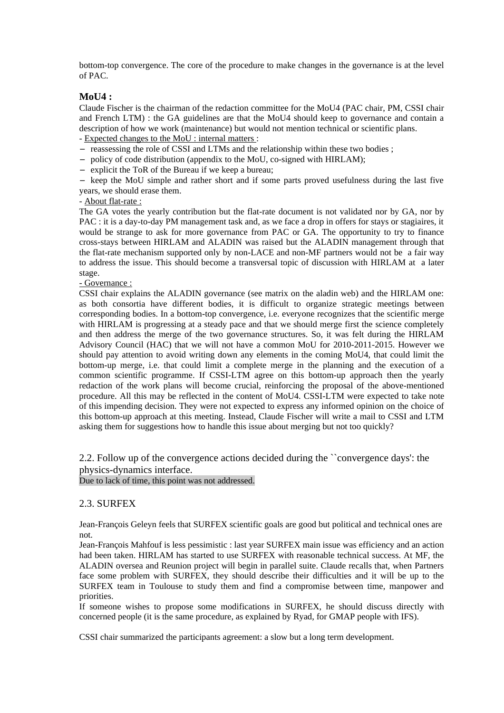bottom-top convergence. The core of the procedure to make changes in the governance is at the level of PAC.

## **MoU4 :**

Claude Fischer is the chairman of the redaction committee for the MoU4 (PAC chair, PM, CSSI chair and French LTM) : the GA guidelines are that the MoU4 should keep to governance and contain a description of how we work (maintenance) but would not mention technical or scientific plans.

- Expected changes to the MoU : internal matters :

− reassessing the role of CSSI and LTMs and the relationship within these two bodies ;

- − policy of code distribution (appendix to the MoU, co-signed with HIRLAM);
- − explicit the ToR of the Bureau if we keep a bureau;

− keep the MoU simple and rather short and if some parts proved usefulness during the last five years, we should erase them.

- About flat-rate :

The GA votes the yearly contribution but the flat-rate document is not validated nor by GA, nor by PAC : it is a day-to-day PM management task and, as we face a drop in offers for stays or stagiaires, it would be strange to ask for more governance from PAC or GA. The opportunity to try to finance cross-stays between HIRLAM and ALADIN was raised but the ALADIN management through that the flat-rate mechanism supported only by non-LACE and non-MF partners would not be a fair way to address the issue. This should become a transversal topic of discussion with HIRLAM at a later stage.

#### - Governance :

CSSI chair explains the ALADIN governance (see matrix on the aladin web) and the HIRLAM one: as both consortia have different bodies, it is difficult to organize strategic meetings between corresponding bodies. In a bottom-top convergence, i.e. everyone recognizes that the scientific merge with HIRLAM is progressing at a steady pace and that we should merge first the science completely and then address the merge of the two governance structures. So, it was felt during the HIRLAM Advisory Council (HAC) that we will not have a common MoU for 2010-2011-2015. However we should pay attention to avoid writing down any elements in the coming MoU4, that could limit the bottom-up merge, i.e. that could limit a complete merge in the planning and the execution of a common scientific programme. If CSSI-LTM agree on this bottom-up approach then the yearly redaction of the work plans will become crucial, reinforcing the proposal of the above-mentioned procedure. All this may be reflected in the content of MoU4. CSSI-LTM were expected to take note of this impending decision. They were not expected to express any informed opinion on the choice of this bottom-up approach at this meeting. Instead, Claude Fischer will write a mail to CSSI and LTM asking them for suggestions how to handle this issue about merging but not too quickly?

2.2. Follow up of the convergence actions decided during the ``convergence days': the physics-dynamics interface.

Due to lack of time, this point was not addressed.

## 2.3. SURFEX

Jean-François Geleyn feels that SURFEX scientific goals are good but political and technical ones are not.

Jean-François Mahfouf is less pessimistic : last year SURFEX main issue was efficiency and an action had been taken. HIRLAM has started to use SURFEX with reasonable technical success. At MF, the ALADIN oversea and Reunion project will begin in parallel suite. Claude recalls that, when Partners face some problem with SURFEX, they should describe their difficulties and it will be up to the SURFEX team in Toulouse to study them and find a compromise between time, manpower and priorities.

If someone wishes to propose some modifications in SURFEX, he should discuss directly with concerned people (it is the same procedure, as explained by Ryad, for GMAP people with IFS).

CSSI chair summarized the participants agreement: a slow but a long term development.